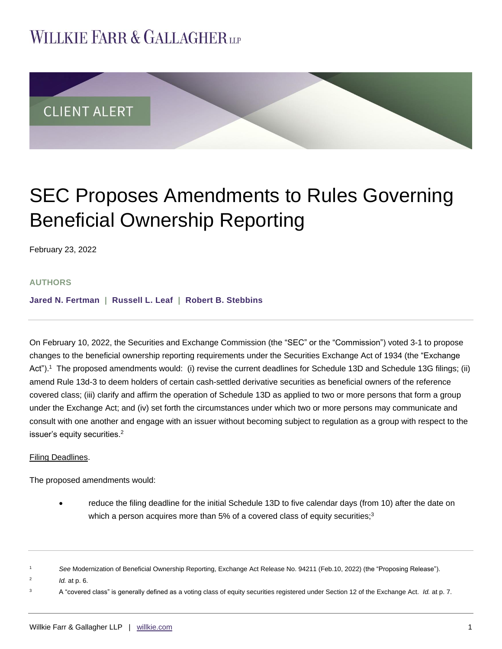## **WILLKIE FARR & GALLAGHERUP**



# SEC Proposes Amendments to Rules Governing Beneficial Ownership Reporting

February 23, 2022

#### **AUTHORS**

**[Jared N. Fertman](https://www.willkie.com/professionals/f/fertman-jared) | [Russell L. Leaf](https://www.willkie.com/professionals/l/leaf-russell-l) | [Robert B. Stebbins](https://www.willkie.com/professionals/s/stebbins-robert)** 

On February 10, 2022, the Securities and Exchange Commission (the "SEC" or the "Commission") voted 3-1 to propose changes to the beneficial ownership reporting requirements under the Securities Exchange Act of 1934 (the "Exchange Act").<sup>1</sup> The proposed amendments would: (i) revise the current deadlines for Schedule 13D and Schedule 13G filings; (ii) amend Rule 13d-3 to deem holders of certain cash-settled derivative securities as beneficial owners of the reference covered class; (iii) clarify and affirm the operation of Schedule 13D as applied to two or more persons that form a group under the Exchange Act; and (iv) set forth the circumstances under which two or more persons may communicate and consult with one another and engage with an issuer without becoming subject to regulation as a group with respect to the issuer's equity securities. $2$ 

#### Filing Deadlines.

The proposed amendments would:

 reduce the filing deadline for the initial Schedule 13D to five calendar days (from 10) after the date on which a person acquires more than 5% of a covered class of equity securities;<sup>3</sup>

See Modernization of Beneficial Ownership Reporting, Exchange Act Release No. 94211 (Feb.10, 2022) (the "Proposing Release").

<sup>2</sup> *Id.* at p. 6.

<sup>3</sup> A "covered class" is generally defined as a voting class of equity securities registered under Section 12 of the Exchange Act. *Id.* at p. 7.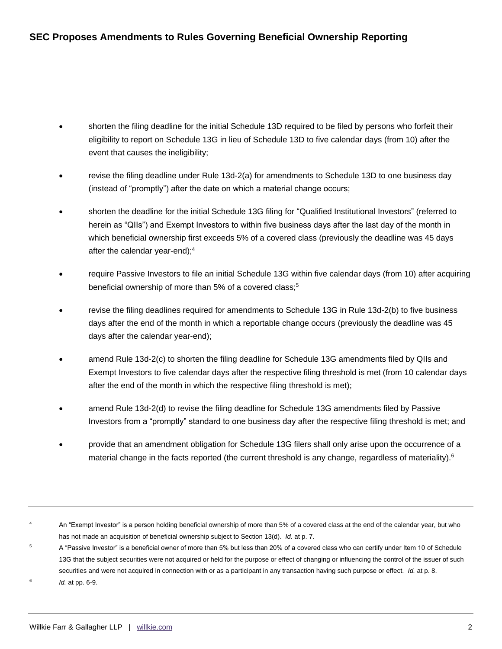- shorten the filing deadline for the initial Schedule 13D required to be filed by persons who forfeit their eligibility to report on Schedule 13G in lieu of Schedule 13D to five calendar days (from 10) after the event that causes the ineligibility;
- revise the filing deadline under Rule 13d-2(a) for amendments to Schedule 13D to one business day (instead of "promptly") after the date on which a material change occurs;
- shorten the deadline for the initial Schedule 13G filing for "Qualified Institutional Investors" (referred to herein as "QIIs") and Exempt Investors to within five business days after the last day of the month in which beneficial ownership first exceeds 5% of a covered class (previously the deadline was 45 days after the calendar year-end); 4
- require Passive Investors to file an initial Schedule 13G within five calendar days (from 10) after acquiring beneficial ownership of more than 5% of a covered class;<sup>5</sup>
- revise the filing deadlines required for amendments to Schedule 13G in Rule 13d-2(b) to five business days after the end of the month in which a reportable change occurs (previously the deadline was 45 days after the calendar year-end);
- amend Rule 13d-2(c) to shorten the filing deadline for Schedule 13G amendments filed by QIIs and Exempt Investors to five calendar days after the respective filing threshold is met (from 10 calendar days after the end of the month in which the respective filing threshold is met);
- amend Rule 13d-2(d) to revise the filing deadline for Schedule 13G amendments filed by Passive Investors from a "promptly" standard to one business day after the respective filing threshold is met; and
- provide that an amendment obligation for Schedule 13G filers shall only arise upon the occurrence of a material change in the facts reported (the current threshold is any change, regardless of materiality).<sup>6</sup>

<sup>5</sup> A "Passive Investor" is a beneficial owner of more than 5% but less than 20% of a covered class who can certify under Item 10 of Schedule 13G that the subject securities were not acquired or held for the purpose or effect of changing or influencing the control of the issuer of such securities and were not acquired in connection with or as a participant in any transaction having such purpose or effect. *Id.* at p. 8.

6 *Id.* at pp. 6-9.

An "Exempt Investor" is a person holding beneficial ownership of more than 5% of a covered class at the end of the calendar year, but who has not made an acquisition of beneficial ownership subject to Section 13(d). *Id.* at p. 7.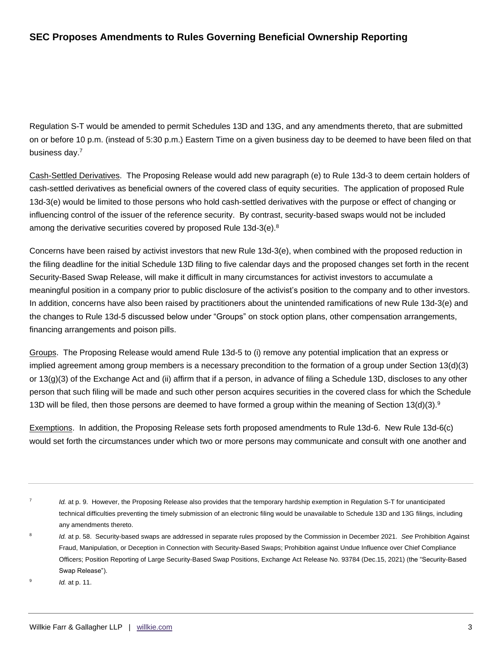Regulation S-T would be amended to permit Schedules 13D and 13G, and any amendments thereto, that are submitted on or before 10 p.m. (instead of 5:30 p.m.) Eastern Time on a given business day to be deemed to have been filed on that business day.<sup>7</sup>

Cash-Settled Derivatives. The Proposing Release would add new paragraph (e) to Rule 13d-3 to deem certain holders of cash-settled derivatives as beneficial owners of the covered class of equity securities. The application of proposed Rule 13d-3(e) would be limited to those persons who hold cash-settled derivatives with the purpose or effect of changing or influencing control of the issuer of the reference security. By contrast, security-based swaps would not be included among the derivative securities covered by proposed Rule 13d-3(e). $8$ 

Concerns have been raised by activist investors that new Rule 13d-3(e), when combined with the proposed reduction in the filing deadline for the initial Schedule 13D filing to five calendar days and the proposed changes set forth in the recent Security-Based Swap Release, will make it difficult in many circumstances for activist investors to accumulate a meaningful position in a company prior to public disclosure of the activist's position to the company and to other investors. In addition, concerns have also been raised by practitioners about the unintended ramifications of new Rule 13d-3(e) and the changes to Rule 13d-5 discussed below under "Groups" on stock option plans, other compensation arrangements, financing arrangements and poison pills.

Groups. The Proposing Release would amend Rule 13d-5 to (i) remove any potential implication that an express or implied agreement among group members is a necessary precondition to the formation of a group under Section 13(d)(3) or 13(g)(3) of the Exchange Act and (ii) affirm that if a person, in advance of filing a Schedule 13D, discloses to any other person that such filing will be made and such other person acquires securities in the covered class for which the Schedule 13D will be filed, then those persons are deemed to have formed a group within the meaning of Section 13(d)(3).<sup>9</sup>

Exemptions. In addition, the Proposing Release sets forth proposed amendments to Rule 13d-6. New Rule 13d-6(c) would set forth the circumstances under which two or more persons may communicate and consult with one another and

- 7 *Id.* at p. 9. However, the Proposing Release also provides that the temporary hardship exemption in Regulation S-T for unanticipated technical difficulties preventing the timely submission of an electronic filing would be unavailable to Schedule 13D and 13G filings, including any amendments thereto.
- 8 *Id.* at p. 58. Security-based swaps are addressed in separate rules proposed by the Commission in December 2021. *See* Prohibition Against Fraud, Manipulation, or Deception in Connection with Security-Based Swaps; Prohibition against Undue Influence over Chief Compliance Officers; Position Reporting of Large Security-Based Swap Positions, Exchange Act Release No. 93784 (Dec.15, 2021) (the "Security-Based Swap Release").
- $\alpha$ *Id.* at p. 11.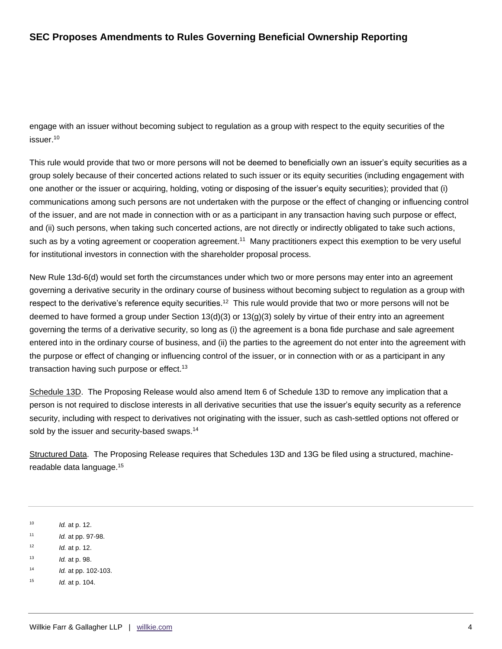engage with an issuer without becoming subject to regulation as a group with respect to the equity securities of the issuer.<sup>10</sup>

This rule would provide that two or more persons will not be deemed to beneficially own an issuer's equity securities as a group solely because of their concerted actions related to such issuer or its equity securities (including engagement with one another or the issuer or acquiring, holding, voting or disposing of the issuer's equity securities); provided that (i) communications among such persons are not undertaken with the purpose or the effect of changing or influencing control of the issuer, and are not made in connection with or as a participant in any transaction having such purpose or effect, and (ii) such persons, when taking such concerted actions, are not directly or indirectly obligated to take such actions, such as by a voting agreement or cooperation agreement.<sup>11</sup> Many practitioners expect this exemption to be very useful for institutional investors in connection with the shareholder proposal process.

New Rule 13d-6(d) would set forth the circumstances under which two or more persons may enter into an agreement governing a derivative security in the ordinary course of business without becoming subject to regulation as a group with respect to the derivative's reference equity securities.<sup>12</sup> This rule would provide that two or more persons will not be deemed to have formed a group under Section 13(d)(3) or 13(g)(3) solely by virtue of their entry into an agreement governing the terms of a derivative security, so long as (i) the agreement is a bona fide purchase and sale agreement entered into in the ordinary course of business, and (ii) the parties to the agreement do not enter into the agreement with the purpose or effect of changing or influencing control of the issuer, or in connection with or as a participant in any transaction having such purpose or effect.<sup>13</sup>

Schedule 13D. The Proposing Release would also amend Item 6 of Schedule 13D to remove any implication that a person is not required to disclose interests in all derivative securities that use the issuer's equity security as a reference security, including with respect to derivatives not originating with the issuer, such as cash-settled options not offered or sold by the issuer and security-based swaps.<sup>14</sup>

Structured Data. The Proposing Release requires that Schedules 13D and 13G be filed using a structured, machinereadable data language.<sup>15</sup>

- 10 *Id.* at p. 12.
- 11 *Id.* at pp. 97-98.
- 12 *Id.* at p. 12.
- 13 *Id.* at p. 98.
- 14 *Id.* at pp. 102-103.
- 15 *Id.* at p. 104.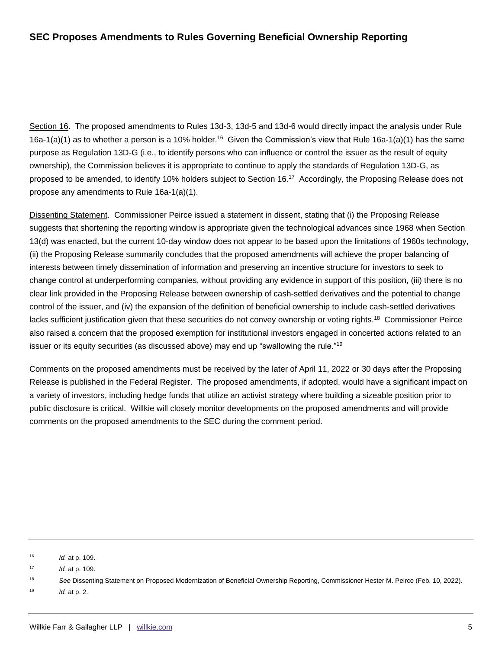Section 16. The proposed amendments to Rules 13d-3, 13d-5 and 13d-6 would directly impact the analysis under Rule 16a-1(a)(1) as to whether a person is a 10% holder.<sup>16</sup> Given the Commission's view that Rule 16a-1(a)(1) has the same purpose as Regulation 13D-G (i.e., to identify persons who can influence or control the issuer as the result of equity ownership), the Commission believes it is appropriate to continue to apply the standards of Regulation 13D-G, as proposed to be amended, to identify 10% holders subject to Section 16.<sup>17</sup> Accordingly, the Proposing Release does not propose any amendments to Rule 16a-1(a)(1).

Dissenting Statement. Commissioner Peirce issued a statement in dissent, stating that (i) the Proposing Release suggests that shortening the reporting window is appropriate given the technological advances since 1968 when Section 13(d) was enacted, but the current 10-day window does not appear to be based upon the limitations of 1960s technology, (ii) the Proposing Release summarily concludes that the proposed amendments will achieve the proper balancing of interests between timely dissemination of information and preserving an incentive structure for investors to seek to change control at underperforming companies, without providing any evidence in support of this position, (iii) there is no clear link provided in the Proposing Release between ownership of cash-settled derivatives and the potential to change control of the issuer, and (iv) the expansion of the definition of beneficial ownership to include cash-settled derivatives lacks sufficient justification given that these securities do not convey ownership or voting rights.<sup>18</sup> Commissioner Peirce also raised a concern that the proposed exemption for institutional investors engaged in concerted actions related to an issuer or its equity securities (as discussed above) may end up "swallowing the rule."<sup>19</sup>

Comments on the proposed amendments must be received by the later of April 11, 2022 or 30 days after the Proposing Release is published in the Federal Register. The proposed amendments, if adopted, would have a significant impact on a variety of investors, including hedge funds that utilize an activist strategy where building a sizeable position prior to public disclosure is critical. Willkie will closely monitor developments on the proposed amendments and will provide comments on the proposed amendments to the SEC during the comment period.

<sup>16</sup> *Id.* at p. 109.

<sup>17</sup> *Id.* at p. 109.

<sup>18</sup> *See* Dissenting Statement on Proposed Modernization of Beneficial Ownership Reporting, Commissioner Hester M. Peirce (Feb. 10, 2022).

<sup>19</sup> *Id.* at p. 2.